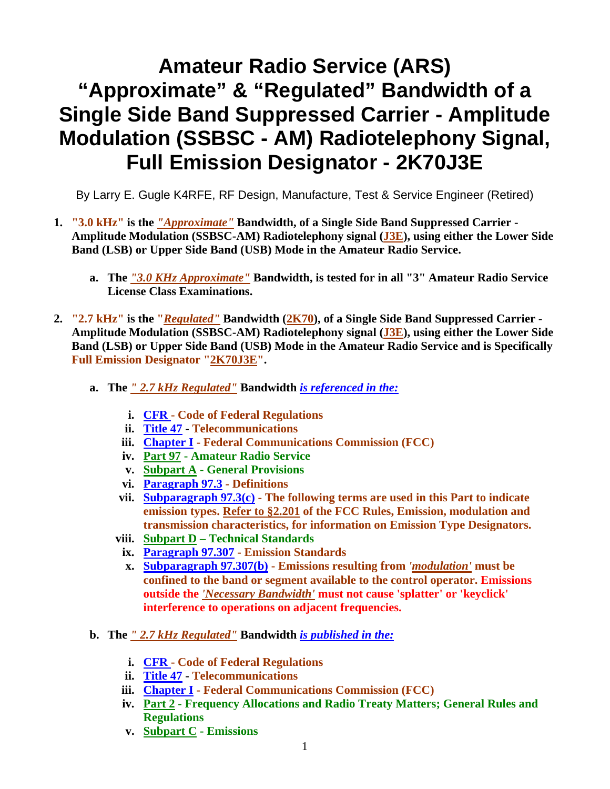## **Amateur Radio Service (ARS) "Approximate" & "Regulated" Bandwidth of a Single Side Band Suppressed Carrier - Amplitude Modulation (SSBSC - AM) Radiotelephony Signal, Full Emission Designator - 2K70J3E**

By Larry E. Gugle K4RFE, RF Design, Manufacture, Test & Service Engineer (Retired)

- **1. "3.0 kHz" is the** *"Approximate"* **Bandwidth, of a Single Side Band Suppressed Carrier Amplitude Modulation (SSBSC-AM) Radiotelephony signal (J3E), using either the Lower Side Band (LSB) or Upper Side Band (USB) Mode in the Amateur Radio Service.** 
	- **a. The** *"3.0 KHz Approximate"* **Bandwidth, is tested for in all "3" Amateur Radio Service License Class Examinations.**
- **2. "2.7 kHz" is the "***Regulated"* **Bandwidth (2K70), of a Single Side Band Suppressed Carrier Amplitude Modulation (SSBSC-AM) Radiotelephony signal (J3E), using either the Lower Side Band (LSB) or Upper Side Band (USB) Mode in the Amateur Radio Service and is Specifically Full Emission Designator "2K70J3E".** 
	- **a. The** *" 2.7 kHz Regulated"* **Bandwidth** *is referenced in the:*
		- **i. CFR Code of Federal Regulations**
		- **ii. Title 47 Telecommunications**
		- **iii. Chapter I Federal Communications Commission (FCC)**
		- **iv. Part 97 Amateur Radio Service**
		- **v. Subpart A General Provisions**
		- **vi. Paragraph 97.3 Definitions**
		- **vii. Subparagraph 97.3(c) The following terms are used in this Part to indicate emission types. Refer to §2.201 of the FCC Rules, Emission, modulation and transmission characteristics, for information on Emission Type Designators.**
		- **viii. Subpart D Technical Standards** 
			- **ix. Paragraph 97.307 Emission Standards**
			- **x. Subparagraph 97.307(b) Emissions resulting from** *'modulation'* **must be confined to the band or segment available to the control operator. Emissions outside the** *'Necessary Bandwidth'* **must not cause 'splatter' or 'keyclick' interference to operations on adjacent frequencies.**
	- **b. The** *" 2.7 kHz Regulated"* **Bandwidth** *is published in the:*
		- **i. CFR Code of Federal Regulations**
		- **ii. Title 47 Telecommunications**
		- **iii. Chapter I Federal Communications Commission (FCC)**
		- **iv. Part 2 Frequency Allocations and Radio Treaty Matters; General Rules and Regulations**
		- **v. Subpart C Emissions**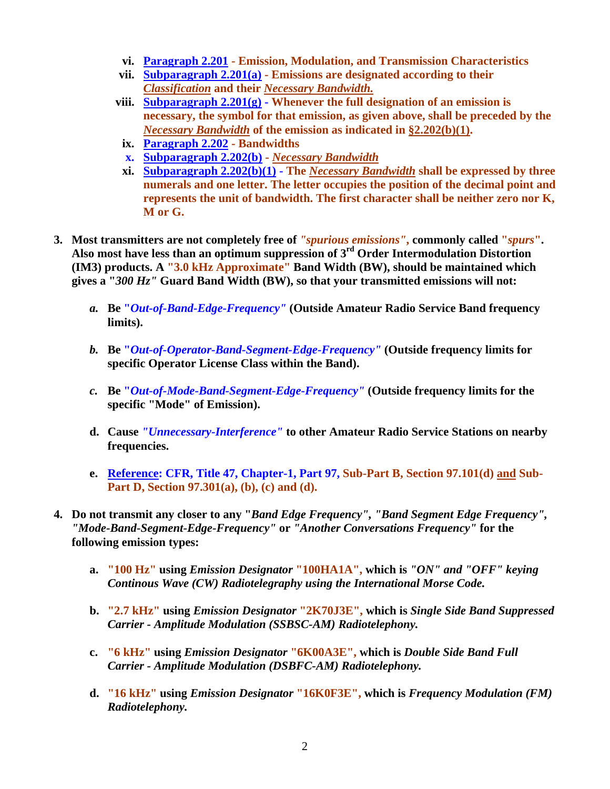- **vi. Paragraph 2.201 Emission, Modulation, and Transmission Characteristics**
- **vii. Subparagraph 2.201(a) Emissions are designated according to their**  *Classification* **and their** *Necessary Bandwidth.*
- **viii. Subparagraph 2.201(g) Whenever the full designation of an emission is necessary, the symbol for that emission, as given above, shall be preceded by the**  *Necessary Bandwidth* **of the emission as indicated in §2.202(b)(1).**
- **ix. Paragraph 2.202 Bandwidths**
- **x. Subparagraph 2.202(b)** *Necessary Bandwidth*
- **xi. Subparagraph 2.202(b)(1) The** *Necessary Bandwidth* **shall be expressed by three numerals and one letter. The letter occupies the position of the decimal point and represents the unit of bandwidth. The first character shall be neither zero nor K, M or G.**
- **3. Most transmitters are not completely free of** *"spurious emissions"***, commonly called "***spurs***". Also most have less than an optimum suppression of 3rd Order Intermodulation Distortion (IM3) products. A "3.0 kHz Approximate" Band Width (BW), should be maintained which gives a "***300 Hz"* **Guard Band Width (BW), so that your transmitted emissions will not:** 
	- *a.* **Be "***Out-of-Band-Edge-Frequency"* **(Outside Amateur Radio Service Band frequency limits).**
	- *b.* **Be "***Out-of-Operator-Band-Segment-Edge-Frequency"* **(Outside frequency limits for specific Operator License Class within the Band).**
	- *c.* **Be "***Out-of-Mode-Band-Segment-Edge-Frequency"* **(Outside frequency limits for the specific "Mode" of Emission).**
	- **d. Cause** *"Unnecessary-Interference"* **to other Amateur Radio Service Stations on nearby frequencies.**
	- **e. Reference: CFR, Title 47, Chapter-1, Part 97, Sub-Part B, Section 97.101(d) and Sub-Part D, Section 97.301(a), (b), (c) and (d).**
- **4. Do not transmit any closer to any "***Band Edge Frequency", "Band Segment Edge Frequency", "Mode-Band-Segment-Edge-Frequency"* **or** *"Another Conversations Frequency"* **for the following emission types:** 
	- **a. "100 Hz" using** *Emission Designator* **"100HA1A", which is** *"ON" and "OFF" keying Continous Wave (CW) Radiotelegraphy using the International Morse Code.*
	- **b. "2.7 kHz" using** *Emission Designator* **"2K70J3E", which is** *Single Side Band Suppressed Carrier - Amplitude Modulation (SSBSC-AM) Radiotelephony.*
	- **c. "6 kHz" using** *Emission Designator* **"6K00A3E", which is** *Double Side Band Full Carrier - Amplitude Modulation (DSBFC-AM) Radiotelephony.*
	- **d. "16 kHz" using** *Emission Designator* **"16K0F3E", which is** *Frequency Modulation (FM) Radiotelephony.*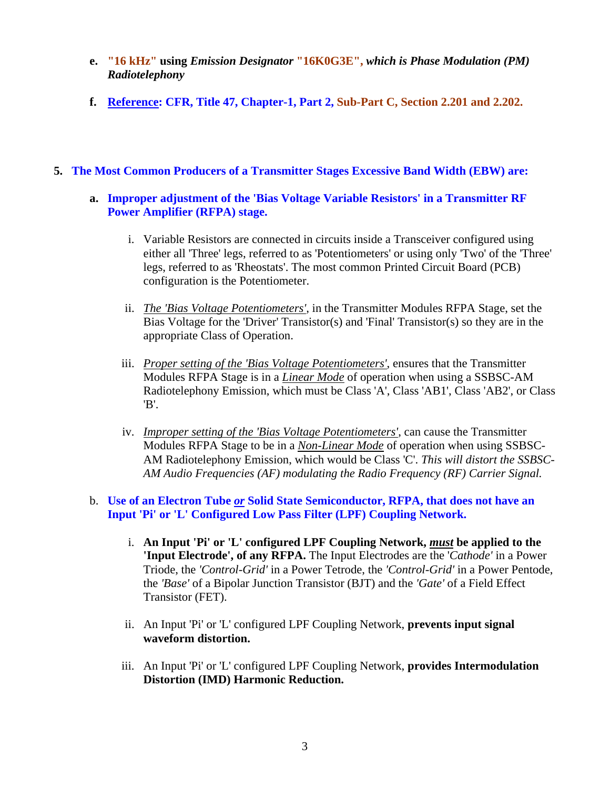- **e. "16 kHz" using** *Emission Designator* **"16K0G3E",** *which is Phase Modulation (PM) Radiotelephony*
- **f. Reference: CFR, Title 47, Chapter-1, Part 2, Sub-Part C, Section 2.201 and 2.202.**

## **5. The Most Common Producers of a Transmitter Stages Excessive Band Width (EBW) are:**

- **a. Improper adjustment of the 'Bias Voltage Variable Resistors' in a Transmitter RF Power Amplifier (RFPA) stage.** 
	- i. Variable Resistors are connected in circuits inside a Transceiver configured using either all 'Three' legs, referred to as 'Potentiometers' or using only 'Two' of the 'Three' legs, referred to as 'Rheostats'. The most common Printed Circuit Board (PCB) configuration is the Potentiometer.
	- ii. *The 'Bias Voltage Potentiometers',* in the Transmitter Modules RFPA Stage, set the Bias Voltage for the 'Driver' Transistor(s) and 'Final' Transistor(s) so they are in the appropriate Class of Operation.
	- iii. *Proper setting of the 'Bias Voltage Potentiometers'*, ensures that the Transmitter Modules RFPA Stage is in a *Linear Mode* of operation when using a SSBSC-AM Radiotelephony Emission, which must be Class 'A', Class 'AB1', Class 'AB2', or Class 'B'.
	- iv. *Improper setting of the 'Bias Voltage Potentiometers'*, can cause the Transmitter Modules RFPA Stage to be in a *Non-Linear Mode* of operation when using SSBSC-AM Radiotelephony Emission, which would be Class 'C'. *This will distort the SSBSC-AM Audio Frequencies (AF) modulating the Radio Frequency (RF) Carrier Signal.*

## b. **Use of an Electron Tube** *or* **Solid State Semiconductor, RFPA, that does not have an Input 'Pi' or 'L' Configured Low Pass Filter (LPF) Coupling Network.**

- i. **An Input 'Pi' or 'L' configured LPF Coupling Network,** *must* **be applied to the 'Input Electrode', of any RFPA.** The Input Electrodes are the '*Cathode'* in a Power Triode, the *'Control-Grid'* in a Power Tetrode, the *'Control-Grid'* in a Power Pentode, the *'Base'* of a Bipolar Junction Transistor (BJT) and the *'Gate'* of a Field Effect Transistor (FET).
- ii. An Input 'Pi' or 'L' configured LPF Coupling Network, **prevents input signal waveform distortion.**
- iii. An Input 'Pi' or 'L' configured LPF Coupling Network, **provides Intermodulation Distortion (IMD) Harmonic Reduction.**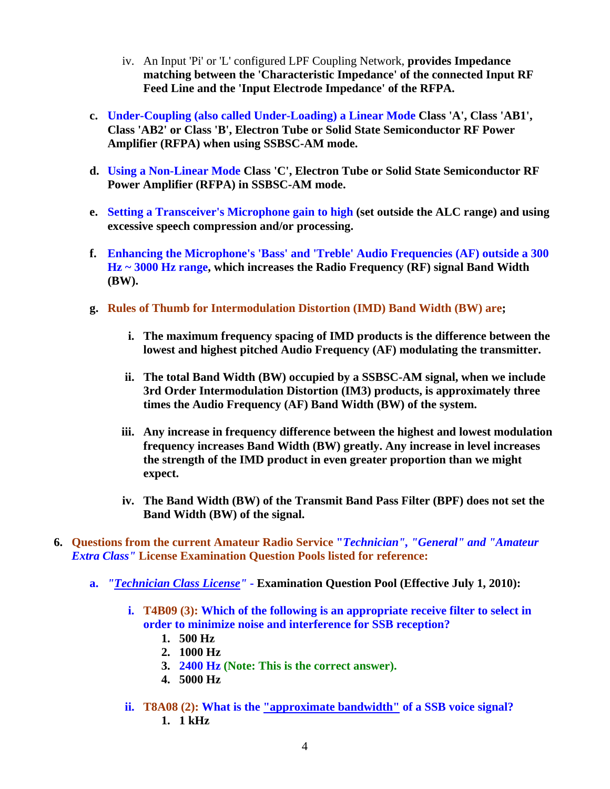- iv. An Input 'Pi' or 'L' configured LPF Coupling Network, **provides Impedance matching between the 'Characteristic Impedance' of the connected Input RF Feed Line and the 'Input Electrode Impedance' of the RFPA.**
- **c. Under-Coupling (also called Under-Loading) a Linear Mode Class 'A', Class 'AB1', Class 'AB2' or Class 'B', Electron Tube or Solid State Semiconductor RF Power Amplifier (RFPA) when using SSBSC-AM mode.**
- **d. Using a Non-Linear Mode Class 'C', Electron Tube or Solid State Semiconductor RF Power Amplifier (RFPA) in SSBSC-AM mode.**
- **e. Setting a Transceiver's Microphone gain to high (set outside the ALC range) and using excessive speech compression and/or processing.**
- **f. Enhancing the Microphone's 'Bass' and 'Treble' Audio Frequencies (AF) outside a 300 Hz ~ 3000 Hz range, which increases the Radio Frequency (RF) signal Band Width (BW).**
- **g. Rules of Thumb for Intermodulation Distortion (IMD) Band Width (BW) are;** 
	- **i. The maximum frequency spacing of IMD products is the difference between the lowest and highest pitched Audio Frequency (AF) modulating the transmitter.**
	- **ii. The total Band Width (BW) occupied by a SSBSC-AM signal, when we include 3rd Order Intermodulation Distortion (IM3) products, is approximately three times the Audio Frequency (AF) Band Width (BW) of the system.**
	- **iii. Any increase in frequency difference between the highest and lowest modulation frequency increases Band Width (BW) greatly. Any increase in level increases the strength of the IMD product in even greater proportion than we might expect.**
	- **iv. The Band Width (BW) of the Transmit Band Pass Filter (BPF) does not set the Band Width (BW) of the signal.**
- **6. Questions from the current Amateur Radio Service "***Technician", "General" and "Amateur Extra Class"* **License Examination Question Pools listed for reference:** 
	- **a.** *"Technician Class License"*  **Examination Question Pool (Effective July 1, 2010):**
		- **i. T4B09 (3): Which of the following is an appropriate receive filter to select in order to minimize noise and interference for SSB reception?** 
			- **1. 500 Hz**
			- **2. 1000 Hz**
			- **3. 2400 Hz (Note: This is the correct answer).**
			- **4. 5000 Hz**
		- **ii. T8A08 (2): What is the "approximate bandwidth" of a SSB voice signal? 1. 1 kHz**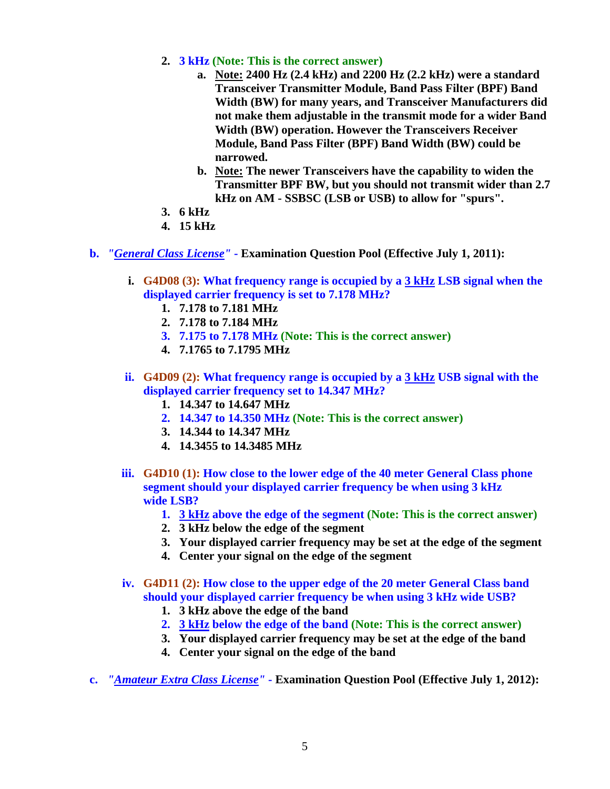- **2. 3 kHz (Note: This is the correct answer)**
	- **a. Note: 2400 Hz (2.4 kHz) and 2200 Hz (2.2 kHz) were a standard Transceiver Transmitter Module, Band Pass Filter (BPF) Band Width (BW) for many years, and Transceiver Manufacturers did not make them adjustable in the transmit mode for a wider Band Width (BW) operation. However the Transceivers Receiver Module, Band Pass Filter (BPF) Band Width (BW) could be narrowed.**
	- **b. Note: The newer Transceivers have the capability to widen the Transmitter BPF BW, but you should not transmit wider than 2.7 kHz on AM - SSBSC (LSB or USB) to allow for "spurs".**
- **3. 6 kHz**
- **4. 15 kHz**
- **b.** *"General Class License"* **Examination Question Pool (Effective July 1, 2011):**
	- **i. G4D08 (3): What frequency range is occupied by a 3 kHz LSB signal when the displayed carrier frequency is set to 7.178 MHz?** 
		- **1. 7.178 to 7.181 MHz**
		- **2. 7.178 to 7.184 MHz**
		- **3. 7.175 to 7.178 MHz (Note: This is the correct answer)**
		- **4. 7.1765 to 7.1795 MHz**
	- **ii. G4D09 (2): What frequency range is occupied by a 3 kHz USB signal with the displayed carrier frequency set to 14.347 MHz?** 
		- **1. 14.347 to 14.647 MHz**
		- **2. 14.347 to 14.350 MHz (Note: This is the correct answer)**
		- **3. 14.344 to 14.347 MHz**
		- **4. 14.3455 to 14.3485 MHz**
	- **iii. G4D10 (1): How close to the lower edge of the 40 meter General Class phone segment should your displayed carrier frequency be when using 3 kHz wide LSB?** 
		- **1. 3 kHz above the edge of the segment (Note: This is the correct answer)**
		- **2. 3 kHz below the edge of the segment**
		- **3. Your displayed carrier frequency may be set at the edge of the segment**
		- **4. Center your signal on the edge of the segment**
	- **iv. G4D11 (2): How close to the upper edge of the 20 meter General Class band should your displayed carrier frequency be when using 3 kHz wide USB?** 
		- **1. 3 kHz above the edge of the band**
		- **2. 3 kHz below the edge of the band (Note: This is the correct answer)**
		- **3. Your displayed carrier frequency may be set at the edge of the band**
		- **4. Center your signal on the edge of the band**
- **c.** *"Amateur Extra Class License"* **Examination Question Pool (Effective July 1, 2012):**